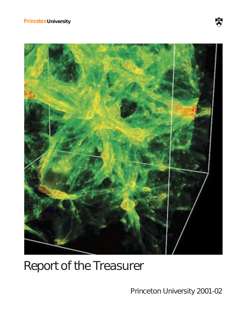# **PrincetonUniversity**



# Report of the Treasurer

Princeton University 2001-02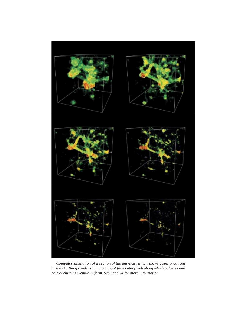

*Computer simulation of a section of the universe, which shows gases produced by the Big Bang condensing into a giant filamentary web along which galaxies and galaxy clusters eventually form. See page 24 for more information.*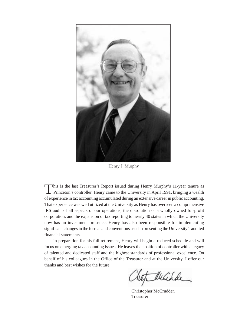

Henry J. Murphy

This is the last Treasurer's Report issued during Henry Murphy's 11-year tenure as **Princeton's controller. Henry came to the University in April 1991, bringing a wealth** of experience in tax accounting accumulated during an extensive career in public accounting. That experience was well utilized at the University as Henry has overseen a comprehensive IRS audit of all aspects of our operations, the dissolution of a wholly owned for-profit corporation, and the expansion of tax reporting to nearly 40 states in which the University now has an investment presence. Henry has also been responsible for implementing significant changes in the format and conventions used in presenting the University's audited financial statements.

In preparation for his full retirement, Henry will begin a reduced schedule and will focus on emerging tax accounting issues. He leaves the position of controller with a legacy of talented and dedicated staff and the highest standards of professional excellence. On behalf of his colleagues in the Office of the Treasurer and at the University, I offer our thanks and best wishes for the future.

Mucidde

Christopher McCrudden Treasurer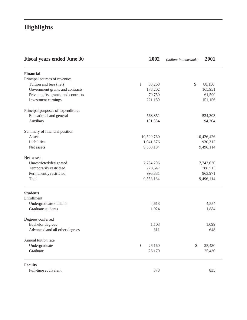# **Highlights**

| <b>Fiscal years ended June 30</b>    | 2002         | 2001<br>(dollars in thousands) |
|--------------------------------------|--------------|--------------------------------|
| <b>Financial</b>                     |              |                                |
| Principal sources of revenues        |              |                                |
| Tuition and fees (net)               | \$<br>83,268 | \$<br>88,156                   |
| Government grants and contracts      | 178,202      | 165,951                        |
| Private gifts, grants, and contracts | 70,750       | 61,590                         |
| Investment earnings                  | 221,150      | 151,156                        |
| Principal purposes of expenditures   |              |                                |
| Educational and general              | 568,851      | 524,303                        |
| Auxiliary                            | 101,384      | 94,304                         |
| Summary of financial position        |              |                                |
| Assets                               | 10,599,760   | 10,426,426                     |
| Liabilities                          | 1,041,576    | 930,312                        |
| Net assets                           | 9,558,184    | 9,496,114                      |
| Net assets                           |              |                                |
| Unrestricted/designated              | 7,784,206    | 7,743,630                      |
| Temporarily restricted               | 778,647      | 788,513                        |
| Permanently restricted               | 995,331      | 963,971                        |
| Total                                | 9,558,184    | 9,496,114                      |
| <b>Students</b>                      |              |                                |
| Enrollment                           |              |                                |
| Undergraduate students               | 4,613        | 4,554                          |
| Graduate students                    | 1,924        | 1,884                          |
| Degrees conferred                    |              |                                |
| <b>Bachelor</b> degrees              | 1,103        | 1,099                          |
| Advanced and all other degrees       | 611          | 648                            |
| Annual tuition rate                  |              |                                |
| Undergraduate                        | \$<br>26,160 | \$<br>25,430                   |
| Graduate                             | 26,170       | 25,430                         |
| <b>Faculty</b>                       |              |                                |
| Full-time equivalent                 | 878          | 835                            |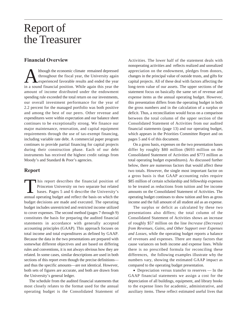# Report of the Treasurer

## **Financial Overview**

Although the economic climate remained depressed throughout the fiscal year, the University again experienced favorable results and ended the year in a sound financial position. While again this year the amount of income distributed under the endowment spending rule exceeded the total return on our investments, our overall investment performance for the year of 2.2 percent for the managed portfolio was both positive and among the best of our peers. Other revenue and expenditures were within expectation and our balance sheet continues to be exceptionally strong. We finance our major maintenance, renovation, and capital equipment requirements through the use of tax-exempt financing, including variable rate debt. A commercial paper program continues to provide partial financing for capital projects during their construction phase. Each of our debt instruments has received the highest credit ratings from Moody's and Standard & Poor's agencies.

## **Report**

This report describes the financial position of<br>Princeton University on two separate but related<br>bases. Pages 5 and 6 describe the University's<br>annual operating budget and reflect the basis on which the Princeton University on two separate but related bases. Pages 5 and 6 describe the University's annual operating budget and reflect the basis on which the budget decisions are made and executed. The operating budget includes unrestricted and restricted income utilized to cover expenses. The second method (pages 7 through 9) constitutes the basis for preparing the audited financial statements in accordance with generally accepted accounting principles (GAAP). This approach focuses on total income and total expenditures as defined by GAAP. Because the data in the two presentations are prepared with somewhat different objectives and are based on differing rules and conventions, it is not always obvious how they are related. In some cases, similar descriptions are used in both sections of this report even though the precise definitions and thus the specific amounts—are not identical. However, both sets of figures are accurate, and both are drawn from the University's general ledger.

The schedule from the audited financial statements that most closely relates to the format used for the annual operating budget is the Consolidated Statement of

Activities. The lower half of the statement deals with nonoperating activities and reflects realized and unrealized appreciation on the endowment, pledges from donors, changes in the principal value of outside trusts, and gifts for capital projects. All of these deal with factors affecting the long-term value of our assets. The upper sections of the statement focus on basically the same set of revenue and expense items as the annual operating budget. However, this presentation differs from the operating budget in both the gross numbers and in the calculation of a surplus or deficit. Thus, a reconciliation would focus on a comparison between the total column of the upper section of the Consolidated Statement of Activities from our audited financial statements (page 13) and our operating budget, which appears in the Priorities Committee Report and on pages 5 and 6 of this document.

On a gross basis, expenses on the two presentation bases differ by roughly \$80 million (\$693 million on the Consolidated Statement of Activities and \$773 million as total operating budget expenditures). As discussed further below, there are numerous factors that would affect these two totals. However, the single most important factor on a gross basis is that GAAP accounting rules require \$85 million of certain scholarship and fellowship expenses to be treated as reductions from tuition and fee income amounts on the Consolidated Statement of Activities. The operating budget continues to show tuition and fees as gross income and the full amount of all student aid as an expense.

The surplus or deficit as calculated by these two presentations also differs; the total column of the Consolidated Statement of Activities shows an increase of roughly \$57 million on the line *Increase (Decrease) from Revenues, Gains, and Other Support over Expenses and Losses,* while the operating budget reports a balance of revenues and expenses. There are many factors that cause variances on both income and expense lines. While there is no prescribed formula for reconciling these differences, the following examples illustrate why the numbers vary, showing the estimated GAAP impact as compared to the operating budget presentation.

• Depreciation versus transfer to reserves — In the GAAP financial statements we assign a cost for the depreciation of all buildings, equipment, and library books to the expense lines for academic, administrative, and auxiliary items. These reflect estimated useful lives that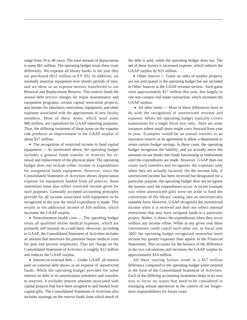range from 10 to 40 years. The total amount of depreciation is some \$61 million. The operating budget treats these costs differently. We expense all library books in the year they are purchased (\$12 million in FY 02). In addition, we normally amortize equipment over shorter periods of time, and we show as an expense monies transferred to our Renewal and Replacement Reserve. This reserve funds the annual debt service charges for major maintenance and equipment programs, certain capital renovation projects, and monies for laboratory renovation, equipment, and other expenses associated with the appointment of new faculty members. Most of these items, which total some \$86 million, are capitalized for GAAP reporting purposes. Thus, the differing treatment of these items on the expense side produces an improvement to the GAAP surplus of about \$37 million.

• The recognition of restricted income to fund capital equipment — As mentioned above, the operating budget includes a general funds transfer to reserves for renewal and replacement of the physical plant. The operating budget does not include either income or expenditures for nongeneral funds equipment. However, since the Consolidated Statement of Activities shows depreciation expense for equipment funded from all sources, these statements must also reflect restricted income given for such purposes. Generally accepted accounting principles provide for all income associated with equipment to be recognized in the year the initial expenditure is made. This results in net additional income of \$16 million, which increases the GAAP surplus.

• Postretirement health costs — The operating budget treats all qualified retiree medical expenses, which are primarily self-insured, on a cash basis. However, according to GAAP, the Consolidated Statement of Activities includes an amount that amortizes the potential future medical costs for past and present employees. That net charge on the Consolidated Statement of Activities is roughly \$12 million and reduces the GAAP surplus.

• Interest on external debt — Under GAAP, all interest paid on external debt shows as an expense of unrestricted funds. While the operating budget provides for some interest on debt in its amortization schedules and transfers to reserves, it excludes interest amounts associated with capital projects that have been assigned to and funded from capital gifts. The Consolidated Statement of Activities also includes earnings on the reserve funds from which much of the debt is paid, while the operating budget does not. The net of these factors is increased expense, which reduces the GAAP surplus by \$15 million.

• Other sources — Gains on sales of surplus property are not anticipated in the operating budget but are included in Other Sources in the GAAP revenue section. Such gains were approximately \$17 million this year, due largely to one non-campus real estate transaction, which increases the GAAP surplus.

• All other items — Most of these differences have to do with the recognition of unrestricted revenue and expense. While the operating budget typically covers transactions for a single fiscal year only, there are some instances where small items might carry forward from year to year. Examples would be an annual transfer to an insurance reserve or an agreement to allow a department to retain certain budget savings. In these cases, the operating budget recognizes the liability, and we actually move the amounts on our books into funds functioning as endowment until the expenditures are made. However, GAAP does not count such transfers and recognizes the expenses only when they are actually incurred. On the income side, if unrestricted income has been received but designated for a particular purpose, the operating budget does not recognize the monies until the expenditures occur. A recent example was when unrestricted gifts were set aside to fund the conversion of the library catalog into an electronically readable form. However, GAAP recognizes the unrestricted income when it is received and does not reflect internal restrictions that may have assigned funds to a particular project. Rather, it shows the expenditures when they occur without any income offset. While in any given year these conventions could cancel each other out, in fiscal year 2002 the operating budget recognized somewhat more income but greater expenses than appear in the Financial Statements. This accounts for the balance of the difference in the two calculations and increases the GAAP surplus by approximately \$14 million.

All these varying factors result in a \$57 million difference compared to the operating budget when restated in the form of the Consolidated Statement of Activities. Each of the differing accounting treatments helps in its own way to focus on issues that need to be considered in managing annual operations in the context of our longerterm responsibilities for future years.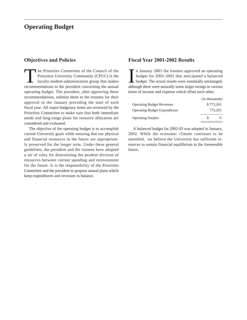# **Operating Budget**

## **Objectives and Policies**

The Priorities Committee of the Council of the Princeton University Community (CPUC) is the faculty-student-administration group that makes recommendations to the president concerning the annual operating budget. The president, after approving these recommendations, submits them to the trustees for their approval in the January preceding the start of each fiscal year. All major budgetary items are reviewed by the Priorities Committee to make sure that both immediate needs and long-range plans for resource allocation are considered and evaluated.

The objective of the operating budget is to accomplish current University goals while ensuring that our physical and financial resources in the future are appropriately preserved for the longer term. Under these general guidelines, the president and the trustees have adopted a set of rules for determining the prudent division of resources between current spending and reinvestment for the future. It is the responsibility of the Priorities Committee and the president to propose annual plans which keep expenditures and revenues in balance.

## **Fiscal Year 2001-2002 Results**

In January 2001 the trustees approved an operating<br>budget for 2001-2002 that anticipated a balanced<br>budget. The actual results were essentially unchanged,<br>although there were naturally some larger swings in various n January 2001 the trustees approved an operating budget for 2001-2002 that anticipated a balanced budget. The actual results were essentially unchanged, items of income and expense which offset each other.

|                                      | ( <i>in thousands</i> ) |
|--------------------------------------|-------------------------|
| <b>Operating Budget Revenues</b>     | \$773,263               |
| <b>Operating Budget Expenditures</b> | 773.263                 |
| <b>Operating Surplus</b>             | £.                      |

A balanced budget for 2002-03 was adopted in January, 2002. While the economic climate continues to be unsettled, we believe the University has sufficient resources to sustain financial equilibrium in the foreseeable future.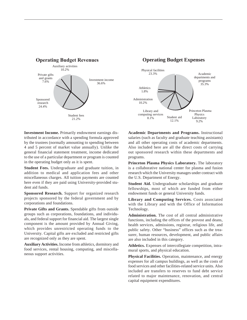

**Investment Income.** Primarily endowment earnings distributed in accordance with a spending formula approved by the trustees (normally amounting to spending between 4 and 5 percent of market value annually). Unlike the general financial statement treatment, income dedicated to the use of a particular department or program is counted in the operating budget only as it is spent.

**Student Fees.** Undergraduate and graduate tuition, in addition to medical and application fees and other miscellaneous charges. All tuition payments are counted here even if they are paid using University-provided student aid funds.

**Sponsored Research.** Support for organized research projects sponsored by the federal government and by corporations and foundations.

Private Gifts and Grants. Spendable gifts from outside groups such as corporations, foundations, and individuals, and federal support for financial aid. The largest single component is the amount provided by Annual Giving, which provides unrestricted operating funds to the University. Capital gifts are excluded and restricted gifts are recognized only as they are spent.

**Auxiliary Activities.** Income from athletics, dormitory and food services, rental housing, computing, and miscellaneous support activities.



**Academic Departments and Programs.** Instructional salaries (such as faculty and graduate teaching assistants) and all other operating costs of academic departments. Also included here are all the direct costs of carrying out sponsored research within these departments and programs.

**Princeton Plasma Physics Laboratory.** The laboratory is a collaborative national center for plasma and fusion research which the University manages under contract with the U.S. Department of Energy.

**Student Aid.** Undergraduate scholarships and graduate fellowships, most of which are funded from either endowment funds or general University funds.

**Library and Computing Services.** Costs associated with the Library and with the Office of Information Technology.

**Administration.** The cost of all central administrative functions, including the offices of the provost and deans, health services, admissions, registrar, religious life, and public safety. Other "business" offices such as the treasurer, human resources, development, and public affairs are also included in this category.

**Athletics.** Expenses of intercollegiate competition, intramural sports, and physical education.

**Physical Facilities.** Operation, maintenance, and energy expenses for all campus buildings, as well as the costs of food services and other facilities-related service units. Also included are transfers to reserves to fund debt service related to major maintenance, renovation, and central capital equipment expenditures.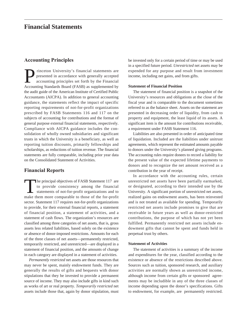## **Financial Statements**

## **Accounting Principles**

**Princeton University's financial statements are**<br>presented in accordance with generally accepted<br>accounting principles set forth by the Financial<br>Accounting Standards Board (FASB) as supplemented by presented in accordance with generally accepted accounting principles set forth by the Financial Accounting Standards Board (FASB) as supplemented by the audit guide of the American Institute of Certified Public Accountants (AICPA). In addition to general accounting guidance, the statements reflect the impact of specific reporting requirements of not-for-profit organizations prescribed by FASB Statements 116 and 117 on the subjects of accounting for contributions and the format of general purpose external financial statements, respectively. Compliance with AICPA guidance includes the consolidation of wholly owned subsidiaries and significant trusts in which the University is a beneficiary, as well as reporting tuition discounts, primarily fellowships and scholarships, as reductions of tuition revenue. The financial statements are fully comparable, including prior year data on the Consolidated Statement of Activities.

## **Financial Reports**

The principal objectives of FASB Statement 117 are<br>to provide consistency among the financial<br>statements of not-for-profit organizations and to<br>make them more comparable to those of the for-profit to provide consistency among the financial statements of not-for-profit organizations and to make them more comparable to those of the for-profit sector. Statement 117 requires not-for-profit organizations to provide, for their external financial reports, a statement of financial position, a statement of activities, and a statement of cash flows. The organization's resources are classified among three categories of net assets, that is, gross assets less related liabilities, based solely on the existence or absence of donor-imposed restrictions. Amounts for each of the three classes of net assets—permanently restricted, temporarily restricted, and unrestricted—are displayed in a statement of financial position, and the amounts of change in each category are displayed in a statement of activities.

*Permanently restricted* net assets are those resources that may never be spent, mainly endowment funds. They are generally the results of gifts and bequests with donor stipulations that they be invested to provide a permanent source of income. They may also include gifts in kind such as works of art or real property. *Temporarily restricted* net assets include those that, again by donor stipulation, must be invested only for a certain period of time or may be used in a specified future period. *Unrestricted* net assets may be expended for any purpose and result from investment income, including net gains, and from gifts.

#### **Statement of Financial Position**

The statement of financial position is a snapshot of the University's resources and obligations at the close of the fiscal year and is comparable to the document sometimes referred to as the balance sheet. Assets on the statement are presented in decreasing order of liquidity, from cash to property and equipment, the least liquid of its assets. A significant item is the amount for contributions receivable, a requirement under FASB Statement 116.

Liabilities are also presented in order of anticipated time of liquidation. Included are the liabilities under unitrust agreements, which represent the estimated amounts payable to donors under the University's planned giving programs. The accounting rules require donees to record a liability for the present value of the expected lifetime payments to donors and to recognize the net amount received as a contribution in the year of receipt.

In accordance with the accounting rules, certain unrestricted net assets have been partially earmarked, or designated, according to their intended use by the University. A significant portion of unrestricted net assets, realized gains on endowment assets, has been reinvested and is not treated as available for spending. Temporarily restricted net assets include promises to give that are receivable in future years as well as donor-restricted contributions, the purpose of which has not yet been fulfilled. Permanently restricted net assets include endowment gifts that cannot be spent and funds held in perpetual trust by others.

#### **Statement of Activities**

The statement of activities is a summary of the income and expenditures for the year, classified according to the existence or absence of the restrictions described above. Sources such as tuition, sponsored research, and auxiliary activities are normally shown as unrestricted income, although income from certain gifts or sponsored agreements may be includible in any of the three classes of income depending upon the donor's specifications. Gifts to endowment, for example, are permanently restricted.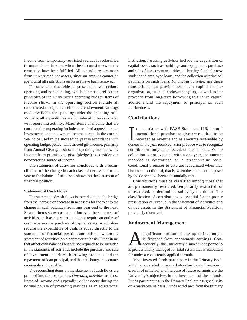Income from temporarily restricted sources is reclassified to unrestricted income when the circumstances of the restriction have been fulfilled. All expenditures are made from unrestricted net assets, since an amount cannot be spent until all restrictions on its use have been removed.

The statement of activities is presented in two sections, operating and nonoperating, which attempt to reflect the principles of the University's operating budget. Items of income shown in the operating section include all unrestricted receipts as well as the endowment earnings made available for spending under the spending rule. Virtually all expenditures are considered to be associated with operating activity. Major items of income that are considered nonoperating include unrealized appreciation on investments and endowment income earned in the current year to be used in the succeeding year in accordance with operating budget policy. Unrestricted gift income, primarily from Annual Giving, is shown as operating income, while income from promises to give (pledges) is considered a nonoperating source of income.

The statement of activities concludes with a reconciliation of the change in each class of net assets for the year to the balance of net assets shown on the statement of financial position.

#### **Statement of Cash Flows**

The statement of cash flows is intended to be the bridge from the increase or decrease in net assets for the year to the change in cash balances from one year-end to the next. Several items shown as expenditures in the statement of activities, such as depreciation, do not require an outlay of cash, whereas the purchase of capital assets, which does require the expenditure of cash, is added directly to the statement of financial position and only shows on the statement of activities on a depreciation basis. Other items that affect cash balances but are not required to be included in the statement of activities include the purchase and sale of investment securities, borrowing proceeds and the repayment of loan principal, and the net change in accounts receivable and payable.

The reconciling items on the statement of cash flows are grouped into three categories. *Operating activities* are those items of income and expenditure that occur during the normal course of providing services as an educational

institution. *Investing activities* include the acquisition of capital assets such as buildings and equipment, purchase and sale of investment securities, disbursing funds for new student and employee loans, and the collection of principal payments on such loans. *Financing activities* are those transactions that provide permanent capital for the organization, such as endowment gifts, as well as the proceeds from long-term borrowing to finance capital additions and the repayment of principal on such indebtedness.

## **Contributions**

In accordance with FASB Statement 116, donors' unconditional promises to give are required to be recorded as revenue and as amounts receivable by dones in the year received. Prior practice was to recognize n accordance with FASB Statement 116, donors' unconditional promises to give are required to be recorded as revenue and as amounts receivable by contributions only as collected, on a cash basis. Where collection is not expected within one year, the amount recorded is determined on a present-value basis. Conditional promises to give are recognized when they become unconditional, that is, when the conditions imposed by the donor have been substantially met.

Contributions must be classified among those that are permanently restricted, temporarily restricted, or unrestricted, as determined solely by the donor. The classification of contributions is essential for the proper presentation of revenue in the Statement of Activities and of net assets in the Statement of Financial Position, previously discussed.

### **Endowment Management**

Significant portion of the operating budget<br>is financed from endowment earnings. Con-<br>sequently, the University's investment portfolio<br>is professionally managed for total return that is accounted is financed from endowment earnings. Consequently, the University's investment portfolio is professionally managed for total return that is accounted for under a consistently applied formula.

Most invested funds participate in the Primary Pool, which is operated on a market-value basis. Long-term growth of principal and increase of future earnings are the University's objectives in the investment of these funds. Funds participating in the Primary Pool are assigned units on a market-value basis. Funds withdrawn from the Primary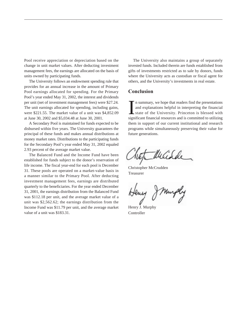Pool receive appreciation or depreciation based on the change in unit market values. After deducting investment management fees, the earnings are allocated on the basis of units owned by participating funds.

The University follows an endowment spending rule that provides for an annual increase in the amount of Primary Pool earnings allocated for spending. For the Primary Pool's year ended May 31, 2002, the interest and dividends per unit (net of investment management fees) were \$27.24. The unit earnings allocated for spending, including gains, were \$221.55. The market value of a unit was \$4,852.09 at June 30, 2002 and \$5,034.48 at June 30, 2001.

A Secondary Pool is maintained for funds expected to be disbursed within five years. The University guarantees the principal of these funds and makes annual distributions at money market rates. Distributions to the participating funds for the Secondary Pool's year ended May 31, 2002 equaled 2.93 percent of the average market value.

The Balanced Fund and the Income Fund have been established for funds subject to the donor's reservation of life income. The fiscal year-end for each pool is December 31. These pools are operated on a market-value basis in a manner similar to the Primary Pool. After deducting investment management fees, earnings are distributed quarterly to the beneficiaries. For the year ended December 31, 2001, the earnings distribution from the Balanced Fund was \$112.18 per unit, and the average market value of a unit was \$2,562.62; the earnings distribution from the Income Fund was \$11.79 per unit, and the average market value of a unit was \$183.31.

The University also maintains a group of separately invested funds. Included therein are funds established from gifts of investments restricted as to sale by donors, funds where the University acts as custodian or fiscal agent for others, and the University's investments in real estate.

## **Conclusion**

In summary, we hope that readers find the presentations and explanations helpful in interpreting the financial state of the University. Princeton is blessed with significant financial resources and is committed to utilizin n summary, we hope that readers find the presentations and explanations helpful in interpreting the financial state of the University. Princeton is blessed with them in support of our current institutional and research programs while simultaneously preserving their value for future generations.

Whichde

Christopher McCrudden Treasurer

Henry J. Murphy Controller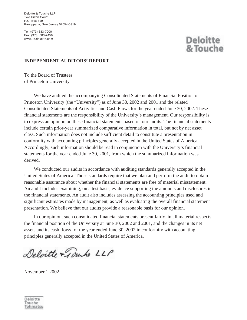Deloitte & Touche LLP Two Hilton Court P.O. Box 319 Parsippany, New Jersey 07054-0319

Tel: (973) 683-7000 Fax: (973) 683-7459 www.us.deloitte.com

# **Deloitte** & Touche

## **INDEPENDENT AUDITORS' REPORT**

To the Board of Trustees of Princeton University

We have audited the accompanying Consolidated Statements of Financial Position of Princeton University (the "University") as of June 30, 2002 and 2001 and the related Consolidated Statements of Activities and Cash Flows for the year ended June 30, 2002. These financial statements are the responsibility of the University's management. Our responsibility is to express an opinion on these financial statements based on our audits. The financial statements include certain prior-year summarized comparative information in total, but not by net asset class. Such information does not include sufficient detail to constitute a presentation in conformity with accounting principles generally accepted in the United States of America. Accordingly, such information should be read in conjunction with the University's financial statements for the year ended June 30, 2001, from which the summarized information was derived.

We conducted our audits in accordance with auditing standards generally accepted in the United States of America. Those standards require that we plan and perform the audit to obtain reasonable assurance about whether the financial statements are free of material misstatement. An audit includes examining, on a test basis, evidence supporting the amounts and disclosures in the financial statements. An audit also includes assessing the accounting principles used and significant estimates made by management, as well as evaluating the overall financial statement presentation. We believe that our audits provide a reasonable basis for our opinion.

In our opinion, such consolidated financial statements present fairly, in all material respects, the financial position of the University at June 30, 2002 and 2001, and the changes in its net assets and its cash flows for the year ended June 30, 2002 in conformity with accounting principles generally accepted in the United States of America.

Deloitte + Journo LLP

November 1 2002

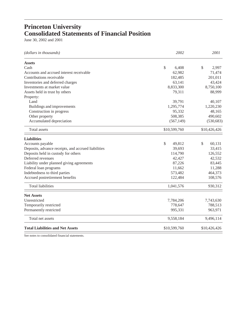# **Princeton University Consolidated Statements of Financial Position**

June 30, 2002 and 2001

| (dollars in thousands)                              | 2002         | 2001         |  |
|-----------------------------------------------------|--------------|--------------|--|
| <b>Assets</b>                                       |              |              |  |
| Cash                                                | \$<br>6,408  | 2,997<br>\$  |  |
| Accounts and accrued interest receivable            | 62,982       | 71,474       |  |
| Contributions receivable                            | 182,485      | 201,011      |  |
| Inventories and deferred charges                    | 63,141       | 43,424       |  |
| Investments at market value                         | 8,833,300    | 8,750,100    |  |
| Assets held in trust by others                      | 79,311       | 88,999       |  |
| Property:                                           |              |              |  |
| Land                                                | 39,791       | 40,107       |  |
| Buildings and improvements                          | 1,295,774    | 1,220,230    |  |
| Construction in progress                            | 95,332       | 48,165       |  |
| Other property                                      | 508,385      | 490,602      |  |
| Accumulated depreciation                            | (567, 149)   | (530, 683)   |  |
| <b>Total</b> assets                                 | \$10,599,760 | \$10,426,426 |  |
| <b>Liabilities</b>                                  |              |              |  |
| Accounts payable                                    | \$<br>49,812 | \$<br>60,131 |  |
| Deposits, advance receipts, and accrued liabilities | 39,693       | 33,415       |  |
| Deposits held in custody for others                 | 114,790      | 126,552      |  |
| Deferred revenues                                   | 42,427       | 42,532       |  |
| Liability under planned giving agreements           | 87,226       | 83,445       |  |
| Federal loan programs                               | 11,662       | 11,288       |  |
| Indebtedness to third parties                       | 573,482      | 464,373      |  |
| Accrued postretirement benefits                     | 122,484      | 108,576      |  |
| <b>Total liabilities</b>                            | 1,041,576    | 930,312      |  |
| <b>Net Assets</b>                                   |              |              |  |
| Unrestricted                                        | 7,784,206    | 7,743,630    |  |
| Temporarily restricted                              | 778,647      | 788,513      |  |
| Permanently restricted                              | 995,331      | 963,971      |  |
| Total net assets                                    | 9,558,184    | 9,496,114    |  |
| <b>Total Liabilities and Net Assets</b>             | \$10,599,760 | \$10,426,426 |  |

See notes to consolidated financial statements.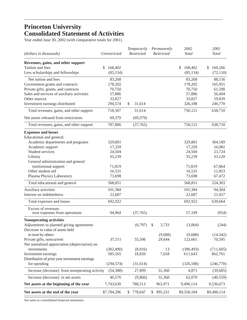# **Princeton University Consolidated Statement of Activities**

Year ended June 30, 2002 (with comparative totals for 2001)

| (dollars in thousands)                         | Unrestricted          | Temporarily<br>Restricted | Permanently<br>Restricted | 2002<br><b>Total</b>  | 2001<br><b>Total</b>  |
|------------------------------------------------|-----------------------|---------------------------|---------------------------|-----------------------|-----------------------|
| Revenues, gains, and other support             |                       |                           |                           |                       |                       |
| Tuition and fees                               | 168,402<br>\$         |                           |                           | \$<br>168,402         | \$<br>160,266         |
| Less scholarships and fellowships              | (85, 134)             |                           |                           | (85, 134)             | (72, 110)             |
| Net tuition and fees                           | 83,268                |                           |                           | 83,268                | 88,156                |
| Government grants and contracts                | 178,202               |                           |                           | 178,202               | 165,951               |
| Private gifts, grants, and contracts           | 70,750                |                           |                           | 70,750                | 61,590                |
| Sales and services of auxiliary activities     | 57,886                |                           |                           | 57,886                | 56,404                |
| Other sources                                  | 33,827                |                           |                           | 33,827                | 19,839                |
| Investment earnings distributed                | 294,574               | \$<br>31,614              |                           | 326,188               | 246,770               |
| Total revenues, gains, and other support       | 718,507               | 31,614                    |                           | 750,121               | 638,710               |
| Net assets released from restrictions          | 69,379                | (69, 379)                 |                           |                       |                       |
| Total revenues, gains, and other support       | 787,886               | (37,765)                  |                           | 750,121               | 638,710               |
| <b>Expenses and losses</b>                     |                       |                           |                           |                       |                       |
| Educational and general:                       |                       |                           |                           |                       |                       |
| Academic departments and programs              | 329,801               |                           |                           | 329,801               | 304,189               |
| Academic support                               | 17,259                |                           |                           | 17,259                | 16,081                |
| Student services                               | 24,504                |                           |                           | 24,504                | 23,724                |
| Library                                        | 35,239                |                           |                           | 35,239                | 33,120                |
| General administration and general             |                       |                           |                           |                       |                       |
| institutional support                          | 71,819                |                           |                           | 71,819                | 67,864                |
| Other student aid                              | 16,531                |                           |                           | 16,531                | 11,853                |
| Plasma Physics Laboratory                      | 73,698                |                           |                           | 73,698                | 67,472                |
| Total educational and general                  | 568,851               |                           |                           | 568,851               | 524,303               |
| Auxiliary activities                           | 101,384               |                           |                           | 101,384               | 94,304                |
| Interest on indebtedness                       | 22,687                |                           |                           | 22,687                | 21,057                |
| Total expenses and losses                      | 692,922               |                           |                           | 692,922               | 639,664               |
| Excess of revenues                             |                       |                           |                           |                       |                       |
| over expenses from operations                  | 94,964                | (37,765)                  |                           | 57,199                | (954)                 |
| Nonoperating activities                        |                       |                           |                           |                       |                       |
| Adjustments to planned giving agreements       |                       | (6,797)                   | \$<br>3,733               | (3,064)               | (244)                 |
| Decrease in value of assets held               |                       |                           |                           |                       |                       |
| in trust by others                             |                       |                           | (9,688)                   | (9,688)               | (14, 342)             |
| Private gifts, noncurrent                      | 37,511                | 55,506                    | 29,644                    | 122,661               | 70,595                |
| Net unrealized appreciation (depreciation) on  |                       |                           |                           |                       |                       |
| investments<br>Investment earnings             | (382, 490)<br>585,165 | (8,016)<br>18,820         | 13<br>7,658               | (390, 493)<br>611,643 | (711, 605)<br>862,761 |
| Distribution of prior year investment earnings |                       |                           |                           |                       |                       |
| for spending                                   | (294, 574)            | (31, 614)                 |                           | (326, 188)            | (246,770)             |
| Increase (decrease) from nonoperating activity | (54, 388)             | 27,899                    | 31,360                    | 4,871                 | (39,605)              |
| Increase (decrease) in net assets              | 40,576                | (9,866)                   | 31,360                    | 62,070                | (40, 559)             |
| Net assets at the beginning of the year        | 7,743,630             | 788,513                   | 963,971                   | 9,496,114             | 9,536,673             |
|                                                |                       |                           |                           |                       |                       |
| Net assets at the end of the year              | \$7,784,206           | \$<br>778,647             | \$<br>995,331             | \$9,558,184           | \$9,496,114           |

See notes to consolidated financial statements.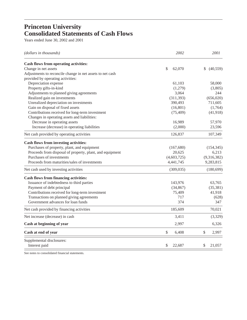# **Princeton University Consolidated Statements of Cash Flows**

Years ended June 30, 2002 and 2001

| (dollars in thousands)                                    | 2002         | 2001                   |
|-----------------------------------------------------------|--------------|------------------------|
| Cash flows from operating activities:                     |              |                        |
| Change in net assets                                      | \$<br>62,070 | \$<br>(40, 559)        |
| Adjustments to reconcile change in net assets to net cash |              |                        |
| provided by operating activities:                         |              |                        |
| Depreciation expense                                      | 61,103       | 58,000                 |
| Property gifts-in-kind                                    | (1,279)      | (3,805)                |
| Adjustments to planned giving agreements                  | 3,064        | 244                    |
| Realized gain on investments                              | (311, 393)   | (656, 020)             |
| Unrealized depreciation on investments                    | 390,493      | 711,605                |
| Gain on disposal of fixed assets                          | (16, 801)    | (1,764)                |
| Contributions received for long-term investment           | (75, 409)    | (41,918)               |
| Changes in operating assets and liabilities:              |              |                        |
| Decrease in operating assets                              | 16,989       | 57,970                 |
| Increase (decrease) in operating liabilities              | (2,000)      | 23,596                 |
| Net cash provided by operating activities                 | 126,837      | 107,349                |
| Cash flows from investing activities:                     |              |                        |
| Purchases of property, plant, and equipment               | (167, 680)   | (154, 345)             |
| Proceeds from disposal of property, plant, and equipment  | 20,625       | 6,213                  |
| Purchases of investments                                  | (4,603,725)  | (9,316,382)            |
| Proceeds from maturities/sales of investments             | 4,441,745    | 9,283,815              |
| Net cash used by investing activities                     | (309, 035)   | (180, 699)             |
| <b>Cash flows from financing activities:</b>              |              |                        |
| Issuance of indebtedness to third parties                 | 143,976      | 63,765                 |
| Payment of debt principal                                 | (34, 867)    | (35,381)               |
| Contributions received for long-term investment           | 75,409       | 41,918                 |
| Transactions on planned giving agreements                 | 717          | (628)                  |
| Government advances for loan funds                        | 374          | 347                    |
| Net cash provided by financing activities                 | 185,609      | 70,021                 |
| Net increase (decrease) in cash                           | 3,411        | (3,329)                |
| Cash at beginning of year                                 | 2,997        | 6,326                  |
| Cash at end of year                                       | \$<br>6,408  | $\mathcal{S}$<br>2,997 |
| Supplemental disclosures:                                 |              |                        |
| Interest paid                                             | \$<br>22,687 | \$<br>21,057           |

See notes to consolidated financial statements.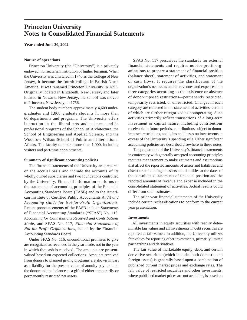## **Princeton University Notes to Consolidated Financial Statements**

**Year ended June 30, 2002**

#### **Nature of operations**

Princeton University (the "University") is a privately endowed, nonsectarian institution of higher learning. When the University was chartered in 1746 as the College of New Jersey, it became the fourth college in British North America. It was renamed Princeton University in 1896. Originally located in Elizabeth, New Jersey, and later located in Newark, New Jersey, the school was moved to Princeton, New Jersey, in 1756.

The student body numbers approximately 4,600 undergraduates and 1,800 graduate students in more than 60 departments and programs. The University offers instruction in the liberal arts and sciences and in professional programs of the School of Architecture, the School of Engineering and Applied Science, and the Woodrow Wilson School of Public and International Affairs. The faculty numbers more than 1,000, including visitors and part-time appointments.

#### **Summary of significant accounting policies**

The financial statements of the University are prepared on the accrual basis and include the accounts of its wholly owned subsidiaries and two foundations controlled by the University. Financial information conforms to the statements of accounting principles of the Financial Accounting Standards Board (FASB) and to the American Institute of Certified Public Accountants *Audit and Accounting Guide for Not-for-Profit Organizations.* Recent pronouncements of the FASB include Statements of Financial Accounting Standards ("SFAS") No. 116, *Accounting for Contributions Received and Contributions Made*, and SFAS No. 117, *Financial Statements of Not-for-Profit Organizations*, issued by the Financial Accounting Standards Board.

Under SFAS No. 116, unconditional promises to give are recognized as revenues in the year made, not in the year in which the cash is received. The amounts are presentvalued based on expected collections. Amounts received from donors to planned giving programs are shown in part as a liability for the present value of annuity payments to the donor and the balance as a gift of either temporarily or permanently restricted net assets.

SFAS No. 117 prescribes the standards for external financial statements and requires not-for-profit organizations to prepare a statement of financial position (balance sheet), statement of activities, and statement of cash flows. It requires the classification of the organization's net assets and its revenues and expenses into three categories according to the existence or absence of donor-imposed restrictions—permanently restricted, temporarily restricted, or unrestricted. Changes in each category are reflected in the statement of activities, certain of which are further categorized as nonoperating. Such activities primarily reflect transactions of a long-term investment or capital nature, including contributions receivable in future periods, contributions subject to donorimposed restrictions, and gains and losses on investments in excess of the University's spending rule. Other significant accounting policies are described elsewhere in these notes.

The preparation of the University's financial statements in conformity with generally accepted accounting principles requires management to make estimates and assumptions that affect the reported amounts of assets and liabilities and disclosure of contingent assets and liabilities at the dates of the consolidated statements of financial position and the reported amounts of revenue and expense included in the consolidated statement of activities. Actual results could differ from such estimates.

The prior year financial statements of the University include certain reclassifications to conform to the current year presentation.

#### **Investments**

All investments in equity securities with readily determinable fair values and all investments in debt securities are reported at fair values. In addition, the University utilizes fair values for reporting other investments, primarily limited partnerships and derivatives.

The fair value of marketable equity, debt, and certain derivative securities (which includes both domestic and foreign issues) is generally based upon a combination of published current market prices and exchange rates. The fair value of restricted securities and other investments, where published market prices are not available, is based on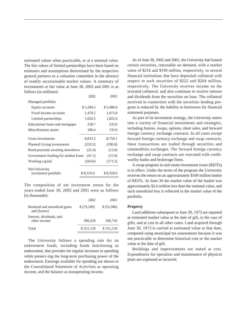estimated values when practicable, or at a nominal value. The fair values of limited partnerships have been based on estimates and assumptions determined by the respective general partners or a valuation committee in the absence of readily ascertainable market values. A summary of investments at fair value at June 30, 2002 and 2001 is as follows (in millions):

|                                      | 2002      | 2001      |
|--------------------------------------|-----------|-----------|
| Managed portfolio:                   |           |           |
| Equity accounts                      | \$5,284.5 | \$5,486.8 |
| Fixed income accounts                | 1,479.2   | 1,073.8   |
| Limited partnerships                 | 1,624.5   | 1,822.6   |
| Educational loans and mortgages      | 258.7     | 233.0     |
| Miscellaneous assets                 | 186.4     | 133.9     |
|                                      |           |           |
| Gross investments                    | 8,833.3   | 8,750.1   |
| <b>Planned Giving investments</b>    | (210.2)   | (190.8)   |
| Bond proceeds awaiting drawdown      | (25.4)    | (13.8)    |
| Government funding for student loans | (41.1)    | (15.0)    |
| Working capital                      | (264.0)   | (171.5)   |
| Net University                       |           |           |
| investment portfolio                 | \$8,319.6 | \$8,359.0 |
|                                      |           |           |

The composition of net investment return for the years ended June 30, 2002 and 2001 were as follows (in thousands):

|                                               | 2002       | 2001        |
|-----------------------------------------------|------------|-------------|
| Realized and unrealized gains<br>and (losses) | \$(79,100) | \$ (55,586) |
| Interest, dividends, and<br>other income      | 300,250    | 206,742     |
| Total                                         | \$221,150  | \$151,156   |
|                                               |            |             |

The University follows a spending rule for its endowment funds, including funds functioning as endowment, that provides for regular increases in spending while preserv-ing the long-term purchasing power of the endowment. Earnings available for spending are shown in the Consolidated Statement of Activities as operating income, and the balance as nonoperating income.

As of June 30, 2002 and 2001, the University had loaned certain securities, returnable on demand, with a market value of \$216 and \$199 million, respectively, to several financial institutions that have deposited collateral with respect to such securities of \$222 and \$204 million, respectively. The University receives income on the invested collateral, and also continues to receive interest and dividends from the securities on loan. The collateral received in connection with the securities lending program is reduced by the liability to borrowers for financial statement purposes.

As part of its investment strategy, the University enters into a variety of financial instruments and strategies, including futures, swaps, options, short sales, and forward foreign currency exchange contracts. In all cases except forward foreign currency exchange and swap contracts, these transactions are traded through securities and commodities exchanges. The forward foreign currency exchange and swap contracts are executed with creditworthy banks and brokerage firms.

A swap program in real estate investment trusts (REITs) is in effect. Under the terms of the program the University receives the return on an approximately \$100 million basket of REITs. At June 30 the market value of the basket was approximately \$2.6 million less than the notional value, and such unrealized loss is reflected in the market value of the portfolio.

#### **Property**

Land additions subsequent to June 30, 1973 are reported at estimated market value at the date of gift, in the case of gifts, and at cost in all other cases. Land acquired through June 30, 1973 is carried at estimated value at that date, computed using municipal tax assessments because it was not practicable to determine historical cost or the market value at the date of gift.

Buildings and improvements are stated at cost. Expenditures for operation and maintenance of physical plant are expensed as incurred.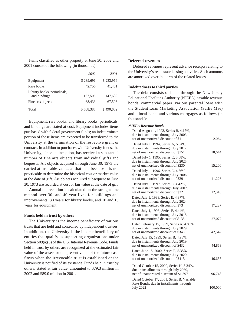Items classified as other property at June 30, 2002 and 2001 consist of the following (in thousands):

|                                             | 2002      | 2001      |
|---------------------------------------------|-----------|-----------|
| Equipment                                   | \$239,691 | \$233,966 |
| Rare books                                  | 42.756    | 41,451    |
| Library books, periodicals,<br>and bindings | 157,505   | 147,682   |
| Fine arts objects                           | 68,433    | 67,503    |
| Total                                       | \$508,385 | \$490,602 |

Equipment, rare books, and library books, periodicals, and bindings are stated at cost. Equipment includes items purchased with federal government funds; an indeterminate portion of those items are expected to be transferred to the University at the termination of the respective grant or contract. In addition to purchases with University funds, the University, since its inception, has received a substantial number of fine arts objects from individual gifts and bequests. Art objects acquired through June 30, 1973 are carried at insurable values at that date because it is not practicable to determine the historical cost or market value at the date of gift. Art objects acquired subsequent to June 30, 1973 are recorded at cost or fair value at the date of gift.

Annual depreciation is calculated on the straight-line method over 30- and 40-year lives for buildings and improvements, 30 years for library books, and 10 and 15 years for equipment.

#### **Funds held in trust by others**

The University is the income beneficiary of various trusts that are held and controlled by independent trustees. In addition, the University is the income beneficiary of entities that qualify as supporting organizations under Section 509(a)(3) of the U.S. Internal Revenue Code. Funds held in trust by others are recognized at the estimated fair value of the assets or the present value of the future cash flows when the irrevocable trust is established or the University is notified of its existence. Funds held in trust by others, stated at fair value, amounted to \$79.3 million in 2002 and \$89.0 million in 2001.

#### **Deferred revenues**

Deferred revenues represent advance receipts relating to the University's real estate leasing activities. Such amounts are amortized over the term of the related leases.

#### **Indebtedness to third parties**

The debt consists of loans through the New Jersey Educational Facilities Authority (NJEFA), taxable revenue bonds, commercial paper, various parental loans with the Student Loan Marketing Association (Sallie Mae) and a local bank, and various mortgages as follows (in thousands):

#### *NJEFA Revenue Bonds*

| Dated August 1, 1993, Series B, 4.17%,<br>due in installments through July 2003,<br>net of unamortized discount of \$11      | 2,064   |
|------------------------------------------------------------------------------------------------------------------------------|---------|
| Dated July 1, 1994, Series A, 5.84%,<br>due in installments through July 2012,<br>net of unamortized discount of \$151       | 10,644  |
| Dated July 1, 1995, Series C, 5.08%,<br>due in installments through July 2025,<br>net of unamortized discount of \$230       | 15,200  |
| Dated July 1, 1996, Series C, 4.86%<br>due in installments through July 2006,<br>net of unamortized discount of \$29         | 11,226  |
| Dated July 1, 1997, Series E, 4.42%,<br>due in installments through July 2007,<br>net of unamortized discount of \$32        | 12,318  |
| Dated July 1, 1998, Series E, 4.87%,<br>due in installments through July 2024,<br>net of unamortized discount of \$73        | 17,227  |
| Dated July 1, 1998, Series F, 4.44%,<br>due in installments through July 2018,<br>net of unamortized discount of \$138       | 27,077  |
| Dated February 15, 1999, Series A, 4.80%,<br>due in installments through July 2029,<br>net of unamortized discount of \$348  | 42,542  |
| Dated July 15, 1999, Series B, 4.98%,<br>due in installments through July 2019,<br>net of unamortized discount of \$432      | 44,863  |
| Dated June 15, 2000, Series E, 5.35%,<br>due in installments through July 2020,<br>net of unamortized discount of \$415      | 46,655  |
| Dated October 15, 2000, Series H, 5.34%,<br>due in installments through July 2030,<br>net of unamortized discount of \$1,397 | 96,748  |
| Dated October 17, 2001, Series B, Variable<br>Rate Bonds, due in installments through<br><b>July 2022</b>                    | 100,000 |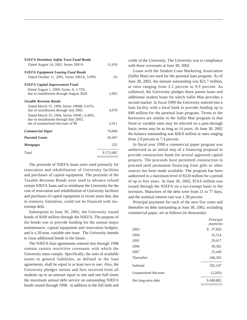| <b>NJEFA Dormitory Safety Trust Fund Bonds</b><br>Dated August 14, 2001, Series 2001A    | 11,650    |
|------------------------------------------------------------------------------------------|-----------|
| <b>NJEFA Equipment Leasing Fund Bonds</b><br>Dated October 11, 2001, Series 2001A, 3.09% | 63        |
| NJEFA Capital Improvement Fund                                                           |           |
| Dated August 1, 2000, Series A, 5.72%<br>due in installments through August 2020         | 2,002     |
| <b>Taxable Revenue Bonds</b>                                                             |           |
| Dated March 15, 1994, Series 1994B, 6.41%,<br>due in installments through July 2002      | 4,970     |
| Dated March 15, 1994, Series 1994C, 6.48%,<br>due in installments through July 2003,     |           |
| net of unamortized discount of \$9                                                       | 2,911     |
| <b>Commercial Paper</b>                                                                  | 74,600    |
| <b>Parental Loans</b>                                                                    | 50,467    |
| <i>Mortgages</i>                                                                         | 255       |
| Total                                                                                    | \$573,482 |

The proceeds of NJEFA loans were used primarily for renovation and rehabilitation of University facilities and purchases of capital equipment. The proceeds of the Taxable Revenue Bonds were used to advance refund certain NJEFA loans and to reimburse the University for the cost of renovation and rehabilitation of University facilities and purchases of capital equipment in recent years that, due to statutory limitation, could not be financed with taxexempt debt.

Subsequent to June 30, 2002, the University issued bonds of \$100 million through the NJEFA. The purpose of the bonds was to provide funding for the annual major maintenance, capital equipment and renovation budgets, and is a 20-year, variable rate issue. The University intends to issue additional bonds in the future.

The NJEFA loan agreements entered into through 1998 contain certain restrictive covenants with which the University must comply. Specifically, the ratio of available assets to general liabilities, as defined in the loan agreements, shall be equal to at least two to one. Also, the University pledges tuition and fees received from all students up to an amount equal to one and one half times the maximum annual debt service on outstanding NJEFA bonds issued through 1998, in addition to the full faith and credit of the University. The University was in compliance with these covenants at June 30, 2002.

Loans with the Student Loan Marketing Association (Sallie Mae) are used for the parental loan program. As of June 30, 2002, the amount outstanding was \$21.7 million, at rates ranging from 2.2 percent to 9.9 percent. As collateral, the University pledges these parent loans and additional student loans for which Sallie Mae provides a second market. In fiscal 1999 the University entered into a loan facility with a local bank to provide funding up to \$40 million for the parental loan program. Terms to the borrowers are similar to the Sallie Mae program in that fixed or variable rates may be selected on a pass-through basis; terms may be as long as 14 years. At June 30, 2002 the balance outstanding was \$28.8 million at rates ranging from 2.0 percent to 7.4 percent.

In fiscal year 1998 a commercial paper program was authorized as an initial step of a financing proposal to provide construction funds for several approved capital projects. The proceeds have permitted construction to proceed until permanent financing from gifts or other sources has been made available. The program has been authorized to a maximum level of \$120 million for a period of up to five years. At June 30, 2002, \$74.6 million was issued through the NJEFA on a tax-exempt basis to the investors. Maturities of the debt were from 21 to 77 days, and the nominal interest rate was 1.38 percent.

Principal payments for each of the next five years and thereafter on debt outstanding at June 30, 2002, excluding commercial paper, are as follows (in thousands):

|                      | Principal<br>payments |
|----------------------|-----------------------|
| 2003                 | 37,820<br>\$          |
| 2004                 | 32,514                |
| 2005                 | 29,617                |
| 2006                 | 30,382                |
| 2007                 | 25,449                |
| Thereafter           | 346,365               |
| Subtotal             | 502,147               |
| Unamortized discount | (3,265)               |
| Net long-term debt   | \$498,882             |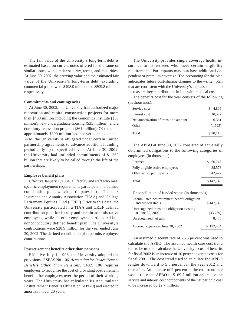The fair value of the University's long-term debt is estimated based on current notes offered for the same or similar issues with similar security, terms, and maturities. At June 30, 2002, the carrying value and the estimated fair value of the University's long-term debt, excluding commercial paper, were \$498.9 million and \$509.8 million, respectively.

#### **Commitments and contingencies**

At June 30, 2002, the University had authorized major renovation and capital construction projects for more than \$400 million including the Genomics Institute (\$53 million), new undergraduate housing (\$35 million), and a dormitory renovation program (\$61 million). Of the total, approximately \$300 million had not yet been expended. Also, the University is obligated under certain limited partnership agreements to advance additional funding periodically up to specified levels. At June 30, 2002, the University had unfunded commitments of \$1.269 billion that are likely to be called through the life of the partnerships.

#### **Employee benefit plans**

Effective January 1, 1994, all faculty and staff who meet specific employment requirements participate in a defined contribution plan, which participates in the Teachers Insurance and Annuity Association (TIAA) and College Retirement Equities Fund (CREF). Prior to this date, the University participated in a TIAA and CREF defined contribution plan for faculty and certain administrative employees, while all other employees participated in a noncontributory defined benefit plan. The University's contributions were \$28.9 million for the year ended June 30, 2002. The defined contribution plan permits employee contributions.

#### **Postretirement benefits other than pensions**

Effective July 1, 1993, the University adopted the provisions of SFAS No. 106, *Accounting for Postretirement Benefits Other Than Pensions*. SFAS 106 requires employers to recognize the cost of providing postretirement benefits for employees over the period of their working years. The University has calculated its Accumulated Postretirement Benefits Obligation (APBO) and elected to amortize it over 20 years.

The University provides single coverage health insurance to its retirees who meet certain eligibility requirements. Participants may purchase additional dependent or premium coverage. The accounting for the plan anticipates future cost-sharing changes to the written plan that are consistent with the University's expressed intent to increase retiree contributions in line with medical costs.

The benefits cost for the year consists of the following (in thousands):

| Service cost                          | 4,805<br>S. |
|---------------------------------------|-------------|
| Interest cost                         | 10,572      |
| Net amortization of transition amount | 6,361       |
| Other                                 | (1,623)     |
| Total                                 | \$20,115    |

The APBO at June 30, 2002 consisted of actuarially determined obligations to the following categories of employees (in thousands):

| Retirees                        | \$ 66,748 |
|---------------------------------|-----------|
| Fully eligible active employees | 38.573    |
| Other active participants       | 42,427    |
| Total                           | \$147,748 |

Reconciliation of funded status (in thousands):

| Accumulated postretirement benefit obligation<br>and funded status | \$147,748 |
|--------------------------------------------------------------------|-----------|
| Unrecognized transition obligation existing<br>at June 30, 2002    | (33,739)  |
| Unrecognized net gain                                              | 8.475     |
| Accrued expense at June 30, 2002                                   | \$122,484 |

An assumed discount rate of 7.25 percent was used to calculate the APBO. The assumed health care cost trend rate to be used to calculate the University's cost of benefits for fiscal 2002 is an increase of 10 percent over the costs for fiscal 2001. The cost trend used to calculate the APBO ranges downward to 5.0 percent in the year 2012 and thereafter. An increase of 1 percent in the cost trend rate would raise the APBO to \$169.7 million and cause the service and interest cost components of the net periodic cost to be increased by \$2.7 million.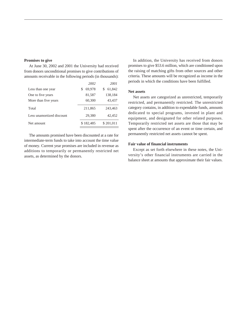#### **Promises to give**

At June 30, 2002 and 2001 the University had received from donors unconditional promises to give contributions of amounts receivable in the following periods (in thousands):

|                           | 2002      | 2001      |
|---------------------------|-----------|-----------|
| Less than one year        | 69,978    | 61,842    |
| One to five years         | 81,587    | 138,184   |
| More than five years      | 60,300    | 43,437    |
| Total                     | 211,865   | 243,463   |
| Less unamortized discount | 29,380    | 42,452    |
| Net amount                | \$182.485 | \$201,011 |
|                           |           |           |

The amounts promised have been discounted at a rate for intermediate-term funds to take into account the time value of money. Current year promises are included in revenue as additions to temporarily or permanently restricted net assets, as determined by the donors.

In addition, the University has received from donors promises to give \$53.6 million, which are conditioned upon the raising of matching gifts from other sources and other criteria. These amounts will be recognized as income in the periods in which the conditions have been fulfilled.

#### **Net assets**

Net assets are categorized as unrestricted, temporarily restricted, and permanently restricted*.* The unrestricted category contains, in addition to expendable funds, amounts dedicated to special programs, invested in plant and equipment, and designated for other related purposes. Temporarily restricted net assets are those that may be spent after the occurrence of an event or time certain, and permanently restricted net assets cannot be spent.

#### **Fair value of financial instruments**

Except as set forth elsewhere in these notes, the University's other financial instruments are carried in the balance sheet at amounts that approximate their fair values.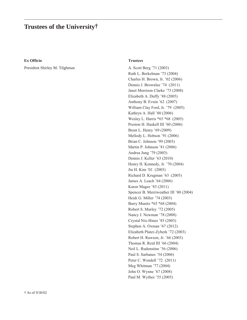# **Trustees of the University†**

#### **Ex Officio**

President Shirley M. Tilghman

#### **Trustees**

A. Scott Berg '71 (2003) Ruth L. Berkelman '73 (2004) Charles H. Brown, Jr. '02 (2006) Dennis J. Brownlee '74 (2011) Janet Morrison Clarke '75 (2008) Elizabeth A. Duffy '88 (2005) Anthony B. Evnin '62 (2007) William Clay Ford, Jr. '79 (2005) Kathryn A. Hall '80 (2006) Wesley L. Harris \*65 \*68 (2005) Preston H. Haskell III '60 (2006) Brent L. Henry '69 (2009) Mellody L. Hobson '91 (2006) Brian C. Johnson '99 (2003) Martin P. Johnson '81 (2006) Andrea Jung '79 (2003) Dennis J. Keller '63 (2010) Henry H. Kennedy, Jr. '70 (2004) Jin H. Kim '01 (2005) Richard D. Krugman '63 (2005) James A. Leach '64 (2006) Karen Magee '83 (2011) Spencer B. Merriweather III '00 (2004) Heidi G. Miller '74 (2003) Barry Munitz \*65 \*68 (2004) Robert S. Murley '72 (2005) Nancy J. Newman '78 (2008) Crystal Nix-Hines '85 (2003) Stephen A. Oxman '67 (2012) Elizabeth Plater-Zyberk '72 (2003) Robert H. Rawson, Jr. '66 (2003) Thomas R. Reid III '66 (2004) Neil L. Rudenstine '56 (2006) Paul S. Sarbanes '54 (2006) Peter C. Wendell '72 (2011) Meg Whitman '77 (2004) John O. Wynne '67 (2008) Paul M. Wythes '55 (2005)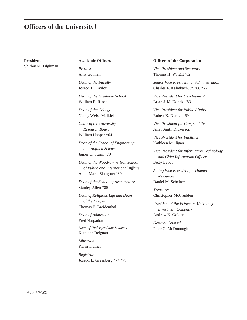# **Officers of the University†**

**President** Shirley M. Tilghman

### **Academic Officers**

*Provost* Amy Gutmann

*Dean of the Faculty* Joseph H. Taylor

*Dean of the Graduate School* William B. Russel

*Dean of the College* Nancy Weiss Malkiel

*Chair of the University Research Board* William Happer \*64

*Dean of the School of Engineering and Applied Science* James C. Sturm '79

*Dean of the Woodrow Wilson School of Public and International Affairs* Anne-Marie Slaughter '80

*Dean of the School of Architecture* Stanley Allen \*88

*Dean of Religious Life and Dean of the Chapel* Thomas E. Breidenthal

*Dean of Admission* Fred Hargadon

*Dean of Undergraduate Students* Kathleen Deignan

*Librarian* Karin Trainer

*Registrar* Joseph L. Greenberg \*74 \*77

#### **Officers of the Corporation**

*Vice President and Secretary* Thomas H. Wright '62

*Senior Vice President for Administration* Charles F. Kalmbach, Jr. '68 \*72

*Vice President for Development* Brian J. McDonald '83

*Vice President for Public Affairs* Robert K. Durkee '69

*Vice President for Campus Life* Janet Smith Dickerson

*Vice President for Facilities* Kathleen Mulligan

*Vice President for Information Technology and Chief Information Officer* Betty Leydon

*Acting Vice President for Human Resources* Daniel M. Scheiner

*Treasurer* Christopher McCrudden

*President of the Princeton University Investment Company* Andrew K. Golden

*General Counsel* Peter G. McDonough